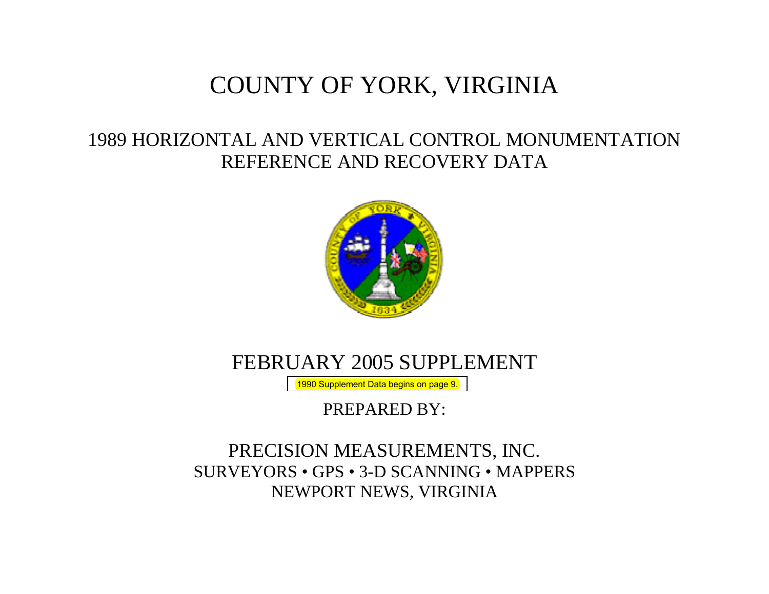# COUNTY OF YORK, VIRGINIA

## 1989 HORIZONTAL AND VERTICAL CONTROL MONUMENTATION REFERENCE AND RECOVERY DATA



## FEBRUARY 2005 SUPPLEMENT

[1990 Supplement Data begins on page 9.](#page-8-0)

PREPARED BY:

## PRECISION MEASUREMENTS, INC. SURVEYORS • GPS • 3-D SCANNING • MAPPERS NEWPORT NEWS, VIRGINIA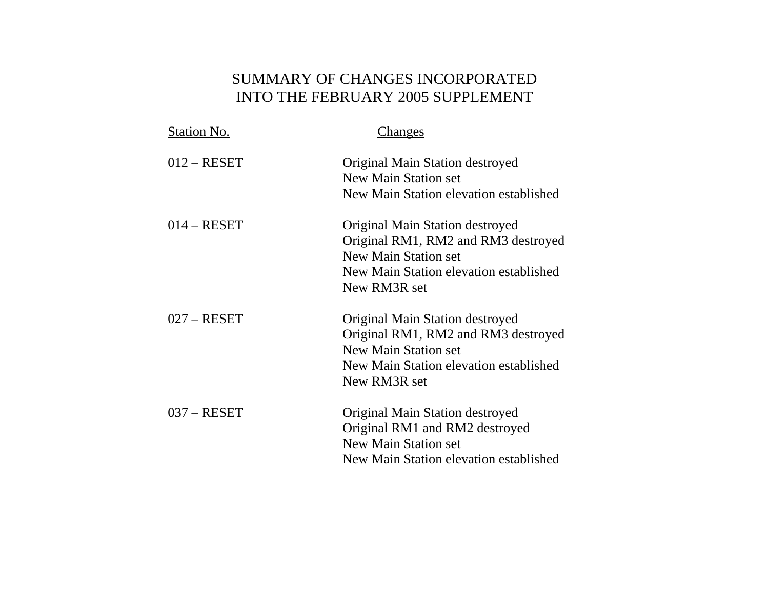## SUMMARY OF CHANGES INCORPORATED INTO THE FEBRUARY 2005 SUPPLEMENT

| Station No.   | Changes                                                                                                                                                         |
|---------------|-----------------------------------------------------------------------------------------------------------------------------------------------------------------|
| $012 - RESET$ | Original Main Station destroyed<br><b>New Main Station set</b><br>New Main Station elevation established                                                        |
| $014 - RESET$ | Original Main Station destroyed<br>Original RM1, RM2 and RM3 destroyed<br>New Main Station set<br>New Main Station elevation established<br>New RM3R set        |
| $027 - RESET$ | Original Main Station destroyed<br>Original RM1, RM2 and RM3 destroyed<br><b>New Main Station set</b><br>New Main Station elevation established<br>New RM3R set |
| $037 - RESET$ | Original Main Station destroyed<br>Original RM1 and RM2 destroyed<br><b>New Main Station set</b><br>New Main Station elevation established                      |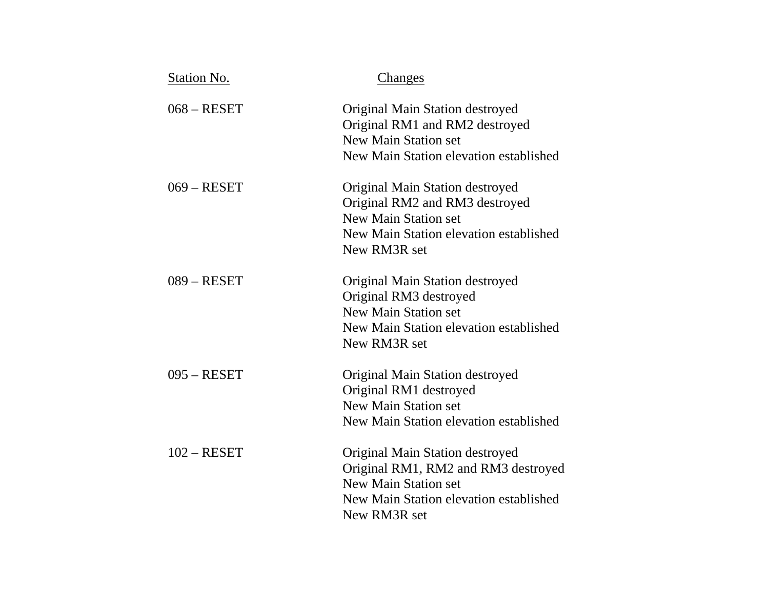| Station No.   | Changes                                                                                                                                                    |
|---------------|------------------------------------------------------------------------------------------------------------------------------------------------------------|
| $068 - RESET$ | Original Main Station destroyed<br>Original RM1 and RM2 destroyed<br><b>New Main Station set</b><br>New Main Station elevation established                 |
| $069 - RESET$ | Original Main Station destroyed<br>Original RM2 and RM3 destroyed<br><b>New Main Station set</b><br>New Main Station elevation established<br>New RM3R set |
| $089 - RESET$ | Original Main Station destroyed<br>Original RM3 destroyed<br><b>New Main Station set</b><br>New Main Station elevation established<br>New RM3R set         |
| $095 - RESET$ | Original Main Station destroyed<br>Original RM1 destroyed<br><b>New Main Station set</b><br>New Main Station elevation established                         |
| $102 - RESET$ | Original Main Station destroyed<br>Original RM1, RM2 and RM3 destroyed<br>New Main Station set<br>New Main Station elevation established<br>New RM3R set   |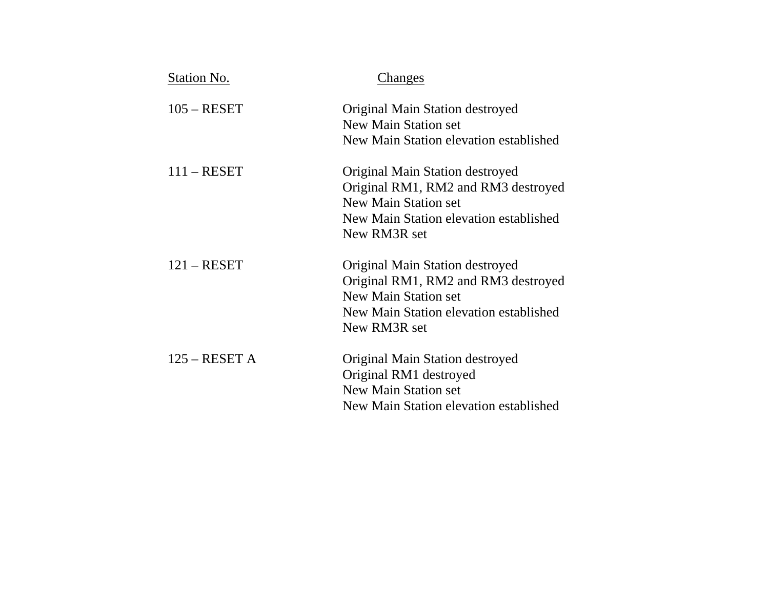| Station No.     | Changes                                                                                                                                                         |
|-----------------|-----------------------------------------------------------------------------------------------------------------------------------------------------------------|
| $105 - RESET$   | Original Main Station destroyed<br>New Main Station set<br>New Main Station elevation established                                                               |
| $111 - RESET$   | Original Main Station destroyed<br>Original RM1, RM2 and RM3 destroyed<br><b>New Main Station set</b><br>New Main Station elevation established<br>New RM3R set |
| $121 - RESET$   | Original Main Station destroyed<br>Original RM1, RM2 and RM3 destroyed<br><b>New Main Station set</b><br>New Main Station elevation established<br>New RM3R set |
| $125 - RESET A$ | Original Main Station destroyed<br>Original RM1 destroyed<br><b>New Main Station set</b><br>New Main Station elevation established                              |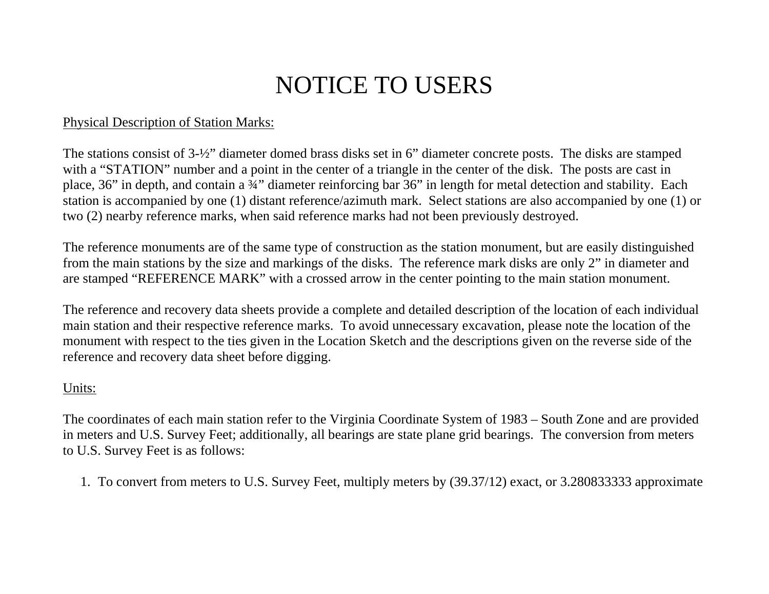# NOTICE TO USERS

## Physical Description of Station Marks:

The stations consist of 3-½" diameter domed brass disks set in 6" diameter concrete posts. The disks are stamped with a "STATION" number and a point in the center of a triangle in the center of the disk. The posts are cast in place, 36" in depth, and contain a ¾" diameter reinforcing bar 36" in length for metal detection and stability. Each station is accompanied by one (1) distant reference/azimuth mark. Select stations are also accompanied by one (1) or two (2) nearby reference marks, when said reference marks had not been previously destroyed.

The reference monuments are of the same type of construction as the station monument, but are easily distinguished from the main stations by the size and markings of the disks. The reference mark disks are only 2" in diameter and are stamped "REFERENCE MARK" with a crossed arrow in the center pointing to the main station monument.

The reference and recovery data sheets provide a complete and detailed description of the location of each individual main station and their respective reference marks. To avoid unnecessary excavation, please note the location of the monument with respect to the ties given in the Location Sketch and the descriptions given on the reverse side of the reference and recovery data sheet before digging.

## Units:

The coordinates of each main station refer to the Virginia Coordinate System of 1983 – South Zone and are provided in meters and U.S. Survey Feet; additionally, all bearings are state plane grid bearings. The conversion from meters to U.S. Survey Feet is as follows:

1. To convert from meters to U.S. Survey Feet, multiply meters by (39.37/12) exact, or 3.280833333 approximate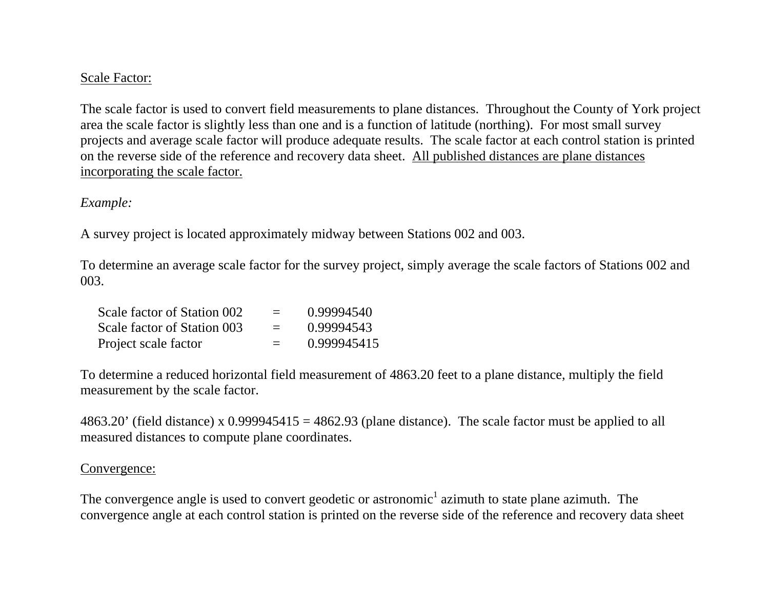### Scale Factor:

The scale factor is used to convert field measurements to plane distances. Throughout the County of York project area the scale factor is slightly less than one and is a function of latitude (northing). For most small survey projects and average scale factor will produce adequate results. The scale factor at each control station is printed on the reverse side of the reference and recovery data sheet. All published distances are plane distances incorporating the scale factor.

#### *Example:*

A survey project is located approximately midway between Stations 002 and 003.

To determine an average scale factor for the survey project, simply average the scale factors of Stations 002 and 003.

| Scale factor of Station 002 | $\equiv$ | 0.99994540  |
|-----------------------------|----------|-------------|
| Scale factor of Station 003 | $=$      | 0.99994543  |
| Project scale factor        | $\equiv$ | 0.999945415 |

To determine a reduced horizontal field measurement of 4863.20 feet to a plane distance, multiply the field measurement by the scale factor.

4863.20' (field distance) x 0.999945415 = 4862.93 (plane distance). The scale factor must be applied to all measured distances to compute plane coordinates.

#### Convergence:

The convergence angle is used to convert geodetic or astronomic<sup>1</sup> azimuth to state plane azimuth. The convergence angle at each control station is printed on the reverse side of the reference and recovery data sheet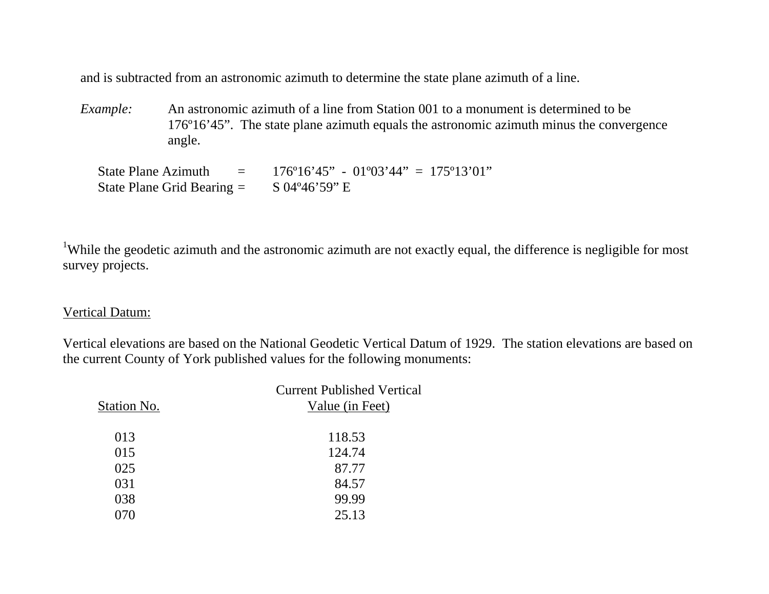and is subtracted from an astronomic azimuth to determine the state plane azimuth of a line.

*Example:* An astronomic azimuth of a line from Station 001 to a monument is determined to be 176º16'45". The state plane azimuth equals the astronomic azimuth minus the convergence angle.

State Plane Azimuth  $= 176^{\circ}16'45'' - 01^{\circ}03'44'' = 175^{\circ}13'01''$ State Plane Grid Bearing  $=$  S 04°46'59" E

<sup>1</sup>While the geodetic azimuth and the astronomic azimuth are not exactly equal, the difference is negligible for most survey projects.

Vertical Datum:

Vertical elevations are based on the National Geodetic Vertical Datum of 1929. The station elevations are based on the current County of York published values for the following monuments:

| Station No. | <b>Current Published Vertical</b><br>Value (in Feet) |  |
|-------------|------------------------------------------------------|--|
| 013         | 118.53                                               |  |
| 015         | 124.74                                               |  |
| 025         | 87.77                                                |  |
| 031         | 84.57                                                |  |
| 038         | 99.99                                                |  |
|             | 25.13                                                |  |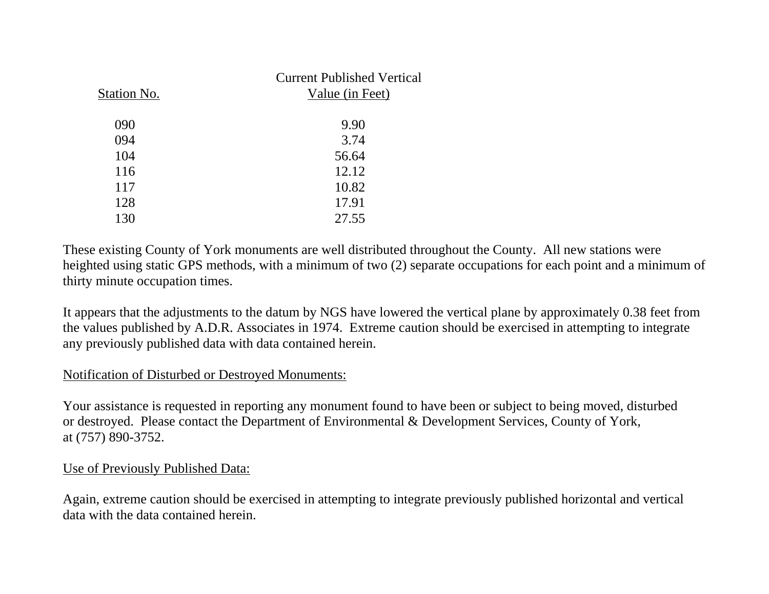| Station No. | <b>Current Published Vertical</b><br>Value (in Feet) |
|-------------|------------------------------------------------------|
| 090         | 9.90                                                 |
| 094         | 3.74                                                 |
| 104         | 56.64                                                |
| 116         | 12.12                                                |
| 117         | 10.82                                                |
| 128         | 17.91                                                |
| 130         | 27.55                                                |

These existing County of York monuments are well distributed throughout the County. All new stations were heighted using static GPS methods, with a minimum of two (2) separate occupations for each point and a minimum of thirty minute occupation times.

It appears that the adjustments to the datum by NGS have lowered the vertical plane by approximately 0.38 feet from the values published by A.D.R. Associates in 1974. Extreme caution should be exercised in attempting to integrate any previously published data with data contained herein.

### Notification of Disturbed or Destroyed Monuments:

Your assistance is requested in reporting any monument found to have been or subject to being moved, disturbed or destroyed. Please contact the Department of Environmental & Development Services, County of York, at (757) 890-3752.

### Use of Previously Published Data:

Again, extreme caution should be exercised in attempting to integrate previously published horizontal and vertical data with the data contained herein.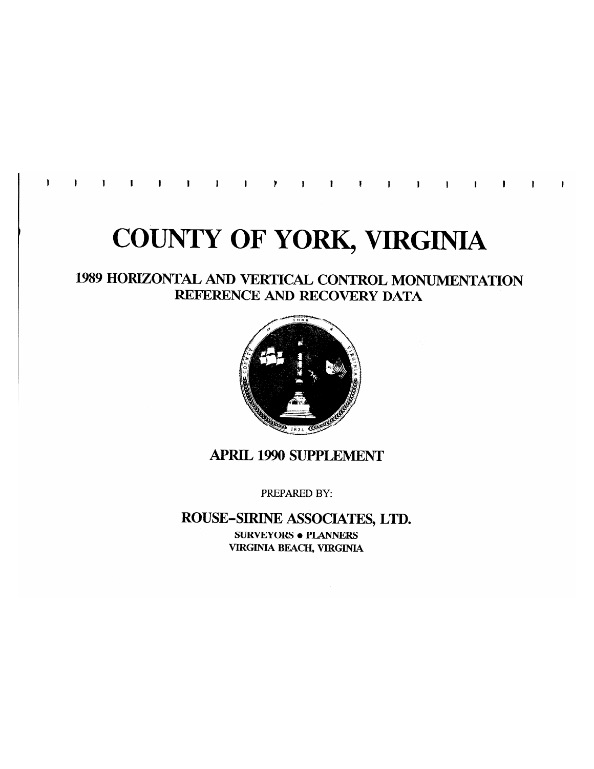$\mathbf{I}$ 

# **COUNTY OF YORK, VIRGINIA**

## 1989 HORIZONTAL AND VERTICAL CONTROL MONUMENTATION REFERENCE AND RECOVERY DATA



## **APRIL 1990 SUPPLEMENT**

PREPARED BY:

### ROUSE-SIRINE ASSOCIATES, LTD.

**SURVEYORS . PLANNERS VIRGINIA BEACH, VIRGINIA**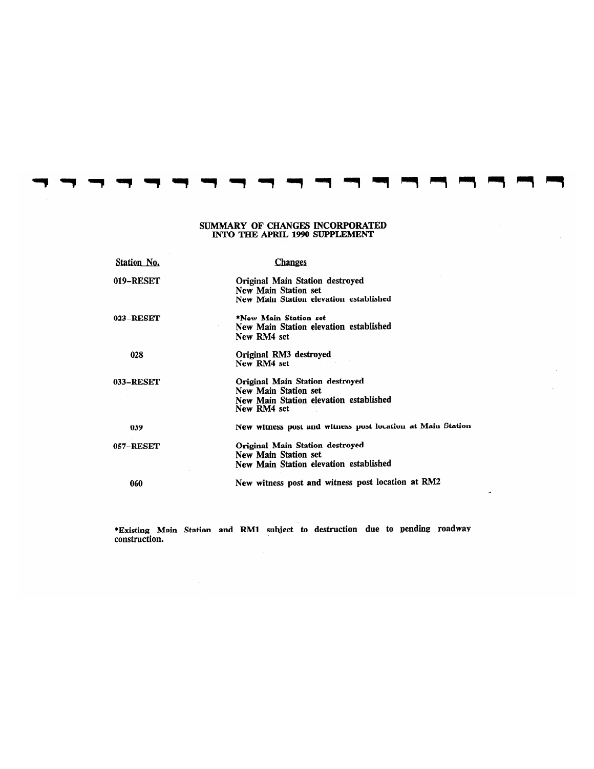#### SUMMARY OF CHANGES INCORPORATED INTO THE APRIL 1990 SUPPLEMENT

| Station No. | <b>Changes</b>                                                                                                   |
|-------------|------------------------------------------------------------------------------------------------------------------|
| 019-RESET   | Original Main Station destroyed<br>New Main Station set<br>New Main Station elevation established                |
| 023-RESET   | *New Main Station set<br>New Main Station elevation established<br>New RM4 set                                   |
| 028         | Original RM3 destroyed<br>New RM4 set                                                                            |
| 033-RESET   | Original Main Station destroyed<br>New Main Station set<br>New Main Station elevation established<br>New RM4 set |
| 039         | New witness post and witness post location at Main Station                                                       |
| 057–RESET   | Original Main Station destroyed<br>New Main Station set<br>New Main Station elevation established                |
| 060         | New witness post and witness post location at RM2                                                                |

\*Existing Main Station and RM1 subject to destruction due to pending roadway construction.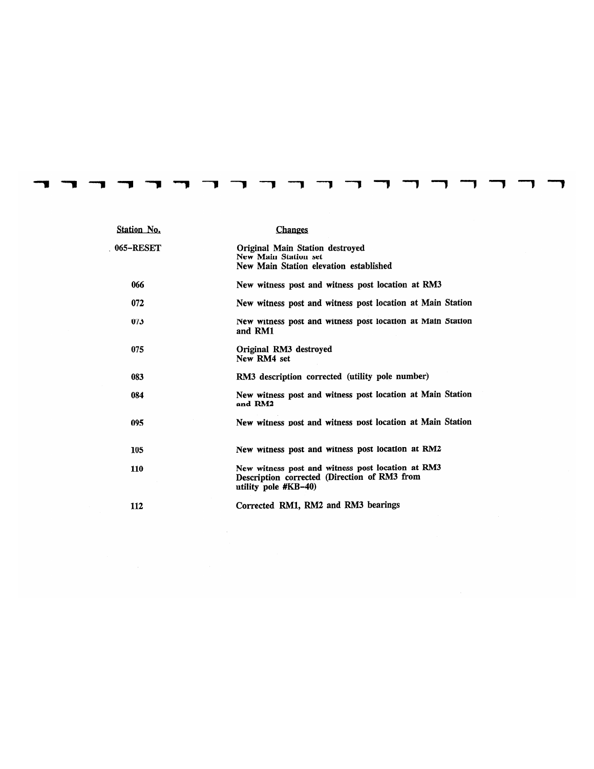| Station No. | <b>Changes</b>                                                                                                             |
|-------------|----------------------------------------------------------------------------------------------------------------------------|
| 065-RESET   | Original Main Station destroyed<br>New Main Station set<br>New Main Station elevation established                          |
| 066         | New witness post and witness post location at RM3                                                                          |
| 072         | New witness post and witness post location at Main Station                                                                 |
| 073         | New witness post and witness post location at Main Station<br>and RM1                                                      |
| 075         | Original RM3 destroyed<br>New RM4 set                                                                                      |
| 083         | RM3 description corrected (utility pole number)                                                                            |
| 084         | New witness post and witness post location at Main Station<br>and RM2                                                      |
| 095         | New witness post and witness post location at Main Station                                                                 |
| 105         | New witness post and witness post location at RM2                                                                          |
| 110         | New witness post and witness post location at RM3<br>Description corrected (Direction of RM3 from<br>utility pole $#KB-40$ |
| 112         | Corrected RM1, RM2 and RM3 bearings                                                                                        |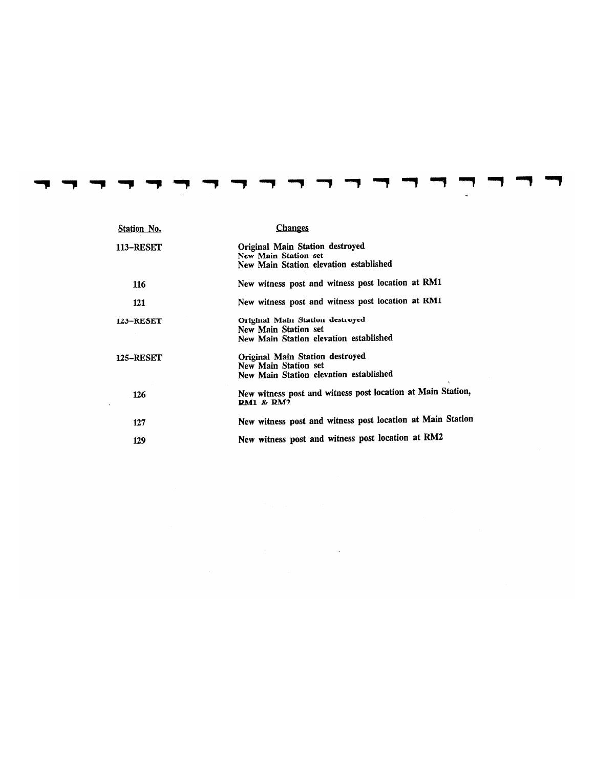| Station No.      | <b>Changes</b>                                                                                    |
|------------------|---------------------------------------------------------------------------------------------------|
| <b>113-RESET</b> | Original Main Station destroyed<br>New Main Station set<br>New Main Station elevation established |
| 116              | New witness post and witness post location at RM1                                                 |
| 121              | New witness post and witness post location at RM1                                                 |
| 123-RESET        | Original Main Station destroyed<br>New Main Station set<br>New Main Station elevation established |
| <b>125-RESET</b> | Original Main Station destroyed<br>New Main Station set<br>New Main Station elevation established |
| 126              | New witness post and witness post location at Main Station,<br><b>RM1 &amp; RM2</b>               |
| 127              | New witness post and witness post location at Main Station                                        |
| 129              | New witness post and witness post location at RM2                                                 |

 $\mathcal{L}(\mathcal{L}(\mathcal{L}))$  and  $\mathcal{L}(\mathcal{L}(\mathcal{L}))$  and  $\mathcal{L}(\mathcal{L}(\mathcal{L}))$  . The contribution of  $\mathcal{L}(\mathcal{L})$ 

------

 $\sim$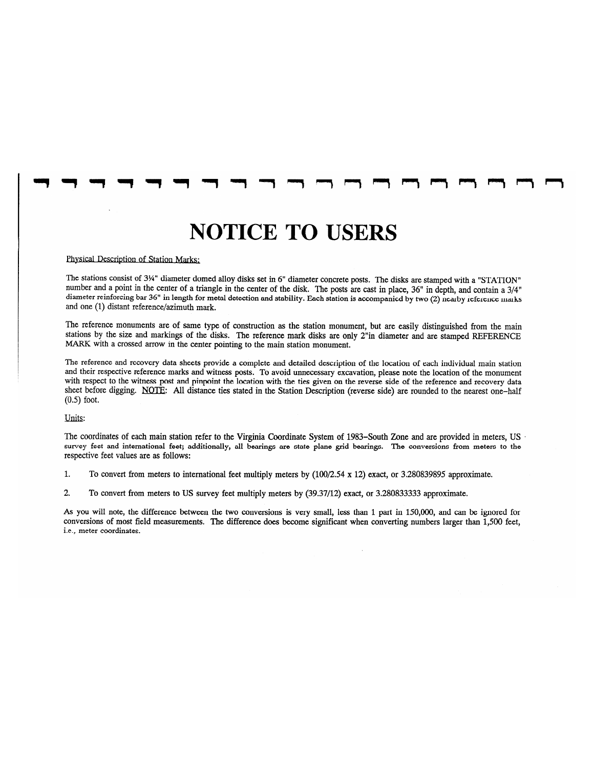## **NOTICE TO USERS**

#### Physical Description of Station Marks:

The stations consist of 3¼" diameter domed alloy disks set in 6" diameter concrete posts. The disks are stamped with a "STATION" number and a point in the center of a triangle in the center of the disk. The posts are cast in place, 36" in depth, and contain a 3/4" diameter reinforcing bar 36" in length for metal detection and stability. Each station is accompanied by two (2) nearby reference marks and one (1) distant reference/azimuth mark.

The reference monuments are of same type of construction as the station monument, but are easily distinguished from the main stations by the size and markings of the disks. The reference mark disks are only 2"in diameter and are stamped REFERENCE MARK with a crossed arrow in the center pointing to the main station monument.

The reference and recovery data sheets provide a complete and detailed description of the location of each individual main station and their respective reference marks and witness posts. To avoid unnecessary excavation, please note the location of the monument with respect to the witness post and pinpoint the location with the ties given on the reverse side of the reference and recovery data sheet before digging. NOTE: All distance ties stated in the Station Description (reverse side) are rounded to the nearest one-half  $(0.5)$  foot.

#### Units:

The coordinates of each main station refer to the Virginia Coordinate System of 1983–South Zone and are provided in meters, US survey feet and international feet; additionally, all bearings are state plane grid bearings. The conversions from meters to the respective feet values are as follows:

- $\mathbf{1}$ . To convert from meters to international feet multiply meters by (100/2.54 x 12) exact, or 3.280839895 approximate.
- $\overline{2}$ . To convert from meters to US survey feet multiply meters by (39.37/12) exact, or 3.280833333 approximate.

As you will note, the difference between the two conversions is very small, less than 1 part in 150,000, and can be ignored for conversions of most field measurements. The difference does become significant when converting numbers larger than 1,500 feet, i.e., meter coordinates.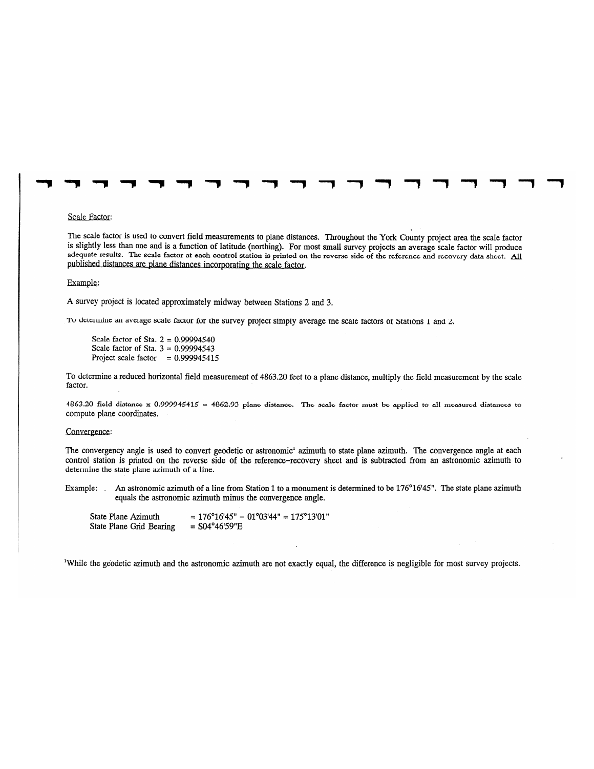#### Scale Factor:

The scale factor is used to convert field measurements to plane distances. Throughout the York County project area the scale factor is slightly less than one and is a function of latitude (northing). For most small survey projects an average scale factor will produce adequate results. The scale factor at each control station is printed on the reverse side of the reference and recovery data sheet. All published distances are plane distances incorporating the scale factor.

#### Example:

A survey project is located approximately midway between Stations 2 and 3.

To determine an average scale factor for the survey project simply average the scale factors of Stations 1 and 2.

Scale factor of Sta.  $2 = 0.99994540$ Scale factor of Sta.  $3 = 0.99994543$ Project scale factor =  $0.999945415$ 

To determine a reduced horizontal field measurement of 4863.20 feet to a plane distance, multiply the field measurement by the scale factor.

4863.20 field distance x 0.999945415 = 4862.93 planc distance. The scale factor must be applied to all measured distances to compute plane coordinates.

#### Convergence:

The convergency angle is used to convert geodetic or astronomic' azimuth to state plane azimuth. The convergence angle at each control station is printed on the reverse side of the reference-recovery sheet and is subtracted from an astronomic azimuth to determine the state plane azimuth of a line.

An astronomic azimuth of a line from Station 1 to a monument is determined to be 176°16'45". The state plane azimuth Example: equals the astronomic azimuth minus the convergence angle.

 $= 176^{\circ}16'45" - 01^{\circ}03'44" = 175^{\circ}13'01"$ State Plane Azimuth State Plane Grid Bearing  $=$  S04°46'59"E

<sup>1</sup>While the geodetic azimuth and the astronomic azimuth are not exactly equal, the difference is negligible for most survey projects.